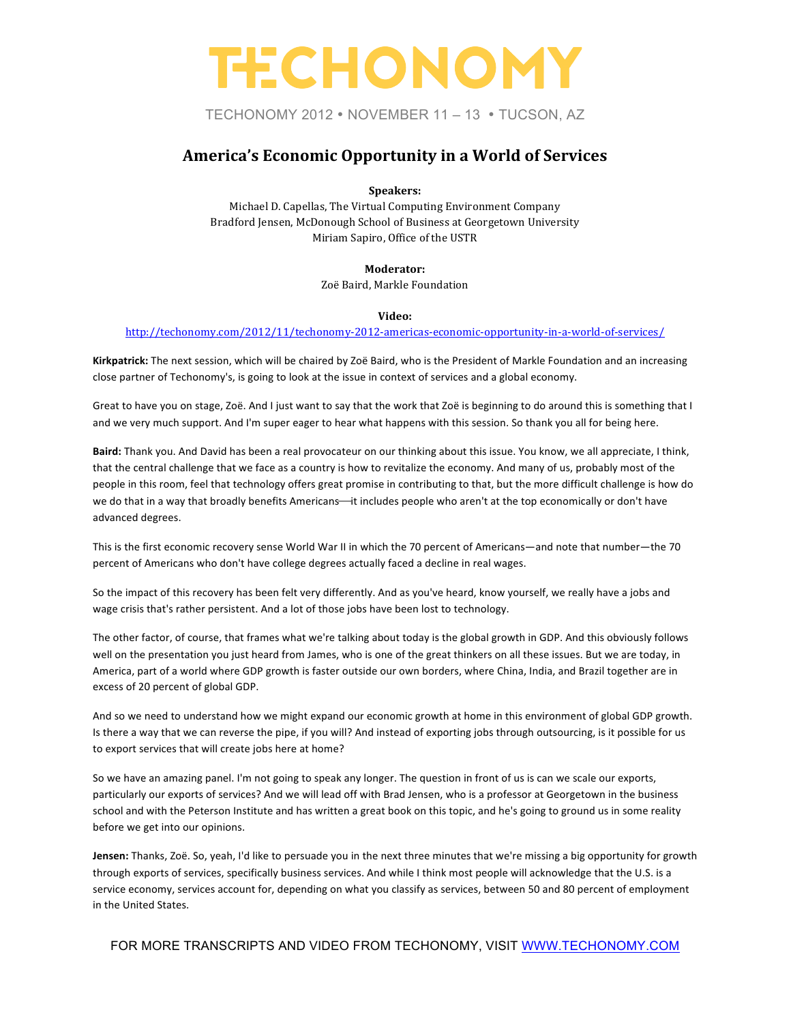TECHONOMY 2012 • NOVEMBER 11 – 13 • TUCSON, AZ

### America's Economic Opportunity in a World of Services

**Speakers:**

Michael D. Capellas, The Virtual Computing Environment Company Bradford Jensen, McDonough School of Business at Georgetown University Miriam Sapiro, Office of the USTR

**Moderator:**

Zoë Baird, Markle Foundation

#### **Video:**

http://techonomy.com/2012/11/techonomy-2012-americas-economic-opportunity-in-a-world-of-services/

Kirkpatrick: The next session, which will be chaired by Zoë Baird, who is the President of Markle Foundation and an increasing close partner of Techonomy's, is going to look at the issue in context of services and a global economy.

Great to have you on stage, Zoë. And I just want to say that the work that Zoë is beginning to do around this is something that I and we very much support. And I'm super eager to hear what happens with this session. So thank you all for being here.

Baird: Thank you. And David has been a real provocateur on our thinking about this issue. You know, we all appreciate, I think, that the central challenge that we face as a country is how to revitalize the economy. And many of us, probably most of the people in this room, feel that technology offers great promise in contributing to that, but the more difficult challenge is how do we do that in a way that broadly benefits Americans—it includes people who aren't at the top economically or don't have advanced degrees.

This is the first economic recovery sense World War II in which the 70 percent of Americans—and note that number—the 70 percent of Americans who don't have college degrees actually faced a decline in real wages.

So the impact of this recovery has been felt very differently. And as you've heard, know yourself, we really have a jobs and wage crisis that's rather persistent. And a lot of those jobs have been lost to technology.

The other factor, of course, that frames what we're talking about today is the global growth in GDP. And this obviously follows well on the presentation you just heard from James, who is one of the great thinkers on all these issues. But we are today, in America, part of a world where GDP growth is faster outside our own borders, where China, India, and Brazil together are in excess of 20 percent of global GDP.

And so we need to understand how we might expand our economic growth at home in this environment of global GDP growth. Is there a way that we can reverse the pipe, if you will? And instead of exporting jobs through outsourcing, is it possible for us to export services that will create jobs here at home?

So we have an amazing panel. I'm not going to speak any longer. The question in front of us is can we scale our exports, particularly our exports of services? And we will lead off with Brad Jensen, who is a professor at Georgetown in the business school and with the Peterson Institute and has written a great book on this topic, and he's going to ground us in some reality before we get into our opinions.

Jensen: Thanks, Zoë. So, yeah, I'd like to persuade you in the next three minutes that we're missing a big opportunity for growth through exports of services, specifically business services. And while I think most people will acknowledge that the U.S. is a service economy, services account for, depending on what you classify as services, between 50 and 80 percent of employment in the United States.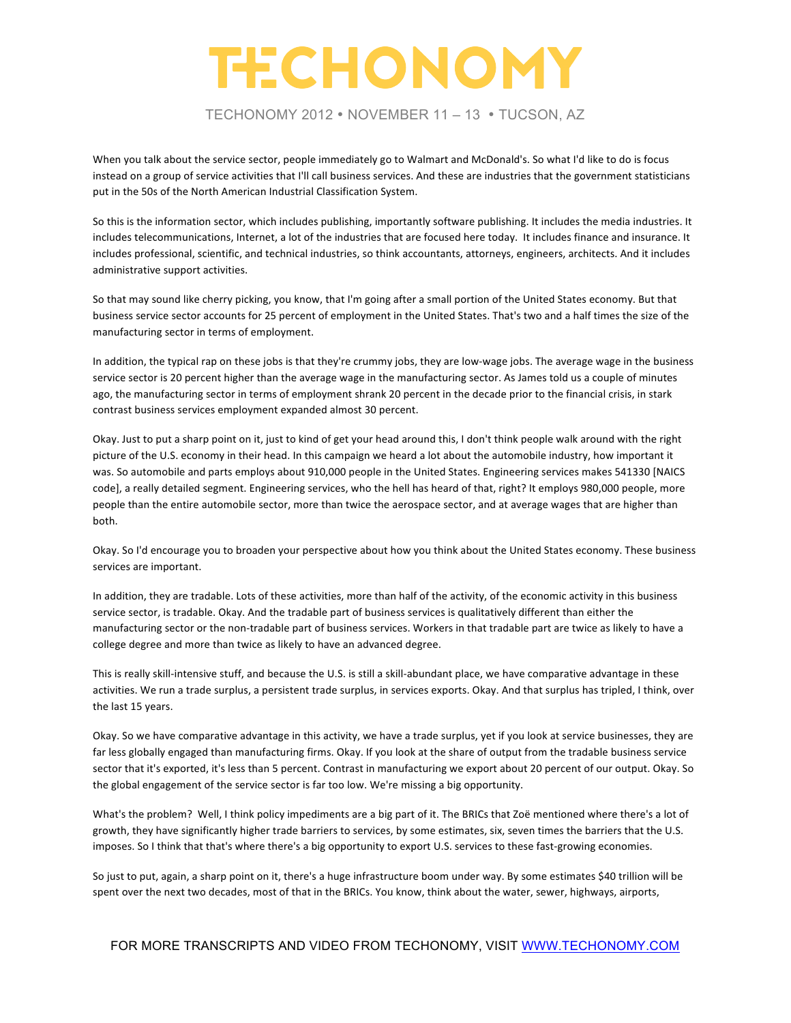TECHONOMY 2012 • NOVEMBER 11 – 13 • TUCSON, AZ

When you talk about the service sector, people immediately go to Walmart and McDonald's. So what I'd like to do is focus instead on a group of service activities that I'll call business services. And these are industries that the government statisticians put in the 50s of the North American Industrial Classification System.

So this is the information sector, which includes publishing, importantly software publishing. It includes the media industries. It includes telecommunications, Internet, a lot of the industries that are focused here today. It includes finance and insurance. It includes professional, scientific, and technical industries, so think accountants, attorneys, engineers, architects. And it includes administrative support activities.

So that may sound like cherry picking, you know, that I'm going after a small portion of the United States economy. But that business service sector accounts for 25 percent of employment in the United States. That's two and a half times the size of the manufacturing sector in terms of employment.

In addition, the typical rap on these jobs is that they're crummy jobs, they are low-wage jobs. The average wage in the business service sector is 20 percent higher than the average wage in the manufacturing sector. As James told us a couple of minutes ago, the manufacturing sector in terms of employment shrank 20 percent in the decade prior to the financial crisis, in stark contrast business services employment expanded almost 30 percent.

Okay. Just to put a sharp point on it, just to kind of get your head around this, I don't think people walk around with the right picture of the U.S. economy in their head. In this campaign we heard a lot about the automobile industry, how important it was. So automobile and parts employs about 910,000 people in the United States. Engineering services makes 541330 [NAICS code], a really detailed segment. Engineering services, who the hell has heard of that, right? It employs 980,000 people, more people than the entire automobile sector, more than twice the aerospace sector, and at average wages that are higher than both.

Okay. So I'd encourage you to broaden your perspective about how you think about the United States economy. These business services are important.

In addition, they are tradable. Lots of these activities, more than half of the activity, of the economic activity in this business service sector, is tradable. Okay. And the tradable part of business services is qualitatively different than either the manufacturing sector or the non-tradable part of business services. Workers in that tradable part are twice as likely to have a college degree and more than twice as likely to have an advanced degree.

This is really skill-intensive stuff, and because the U.S. is still a skill-abundant place, we have comparative advantage in these activities. We run a trade surplus, a persistent trade surplus, in services exports. Okay. And that surplus has tripled, I think, over the last 15 years.

Okay. So we have comparative advantage in this activity, we have a trade surplus, yet if you look at service businesses, they are far less globally engaged than manufacturing firms. Okay. If you look at the share of output from the tradable business service sector that it's exported, it's less than 5 percent. Contrast in manufacturing we export about 20 percent of our output. Okay. So the global engagement of the service sector is far too low. We're missing a big opportunity.

What's the problem? Well, I think policy impediments are a big part of it. The BRICs that Zoë mentioned where there's a lot of growth, they have significantly higher trade barriers to services, by some estimates, six, seven times the barriers that the U.S. imposes. So I think that that's where there's a big opportunity to export U.S. services to these fast-growing economies.

So just to put, again, a sharp point on it, there's a huge infrastructure boom under way. By some estimates \$40 trillion will be spent over the next two decades, most of that in the BRICs. You know, think about the water, sewer, highways, airports,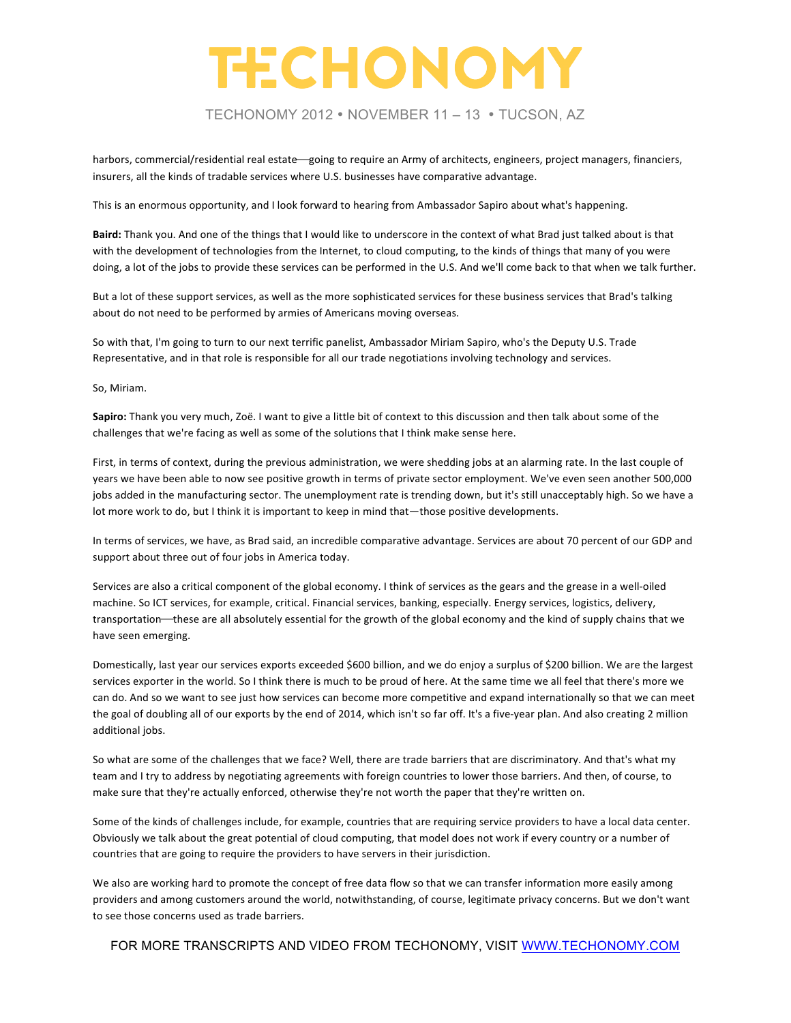TECHONOMY 2012 • NOVEMBER 11 – 13 • TUCSON, AZ

harbors, commercial/residential real estate going to require an Army of architects, engineers, project managers, financiers, insurers, all the kinds of tradable services where U.S. businesses have comparative advantage.

This is an enormous opportunity, and I look forward to hearing from Ambassador Sapiro about what's happening.

Baird: Thank you. And one of the things that I would like to underscore in the context of what Brad just talked about is that with the development of technologies from the Internet, to cloud computing, to the kinds of things that many of you were doing, a lot of the jobs to provide these services can be performed in the U.S. And we'll come back to that when we talk further.

But a lot of these support services, as well as the more sophisticated services for these business services that Brad's talking about do not need to be performed by armies of Americans moving overseas.

So with that, I'm going to turn to our next terrific panelist, Ambassador Miriam Sapiro, who's the Deputy U.S. Trade Representative, and in that role is responsible for all our trade negotiations involving technology and services.

So, Miriam.

**Sapiro:** Thank you very much, Zoë. I want to give a little bit of context to this discussion and then talk about some of the challenges that we're facing as well as some of the solutions that I think make sense here.

First, in terms of context, during the previous administration, we were shedding jobs at an alarming rate. In the last couple of years we have been able to now see positive growth in terms of private sector employment. We've even seen another 500,000 jobs added in the manufacturing sector. The unemployment rate is trending down, but it's still unacceptably high. So we have a lot more work to do, but I think it is important to keep in mind that—those positive developments.

In terms of services, we have, as Brad said, an incredible comparative advantage. Services are about 70 percent of our GDP and support about three out of four jobs in America today.

Services are also a critical component of the global economy. I think of services as the gears and the grease in a well-oiled machine. So ICT services, for example, critical. Financial services, banking, especially. Energy services, logistics, delivery, transportation—these are all absolutely essential for the growth of the global economy and the kind of supply chains that we have seen emerging.

Domestically, last year our services exports exceeded \$600 billion, and we do enjoy a surplus of \$200 billion. We are the largest services exporter in the world. So I think there is much to be proud of here. At the same time we all feel that there's more we can do. And so we want to see just how services can become more competitive and expand internationally so that we can meet the goal of doubling all of our exports by the end of 2014, which isn't so far off. It's a five-year plan. And also creating 2 million additional jobs.

So what are some of the challenges that we face? Well, there are trade barriers that are discriminatory. And that's what my team and I try to address by negotiating agreements with foreign countries to lower those barriers. And then, of course, to make sure that they're actually enforced, otherwise they're not worth the paper that they're written on.

Some of the kinds of challenges include, for example, countries that are requiring service providers to have a local data center. Obviously we talk about the great potential of cloud computing, that model does not work if every country or a number of countries that are going to require the providers to have servers in their jurisdiction.

We also are working hard to promote the concept of free data flow so that we can transfer information more easily among providers and among customers around the world, notwithstanding, of course, legitimate privacy concerns. But we don't want to see those concerns used as trade barriers.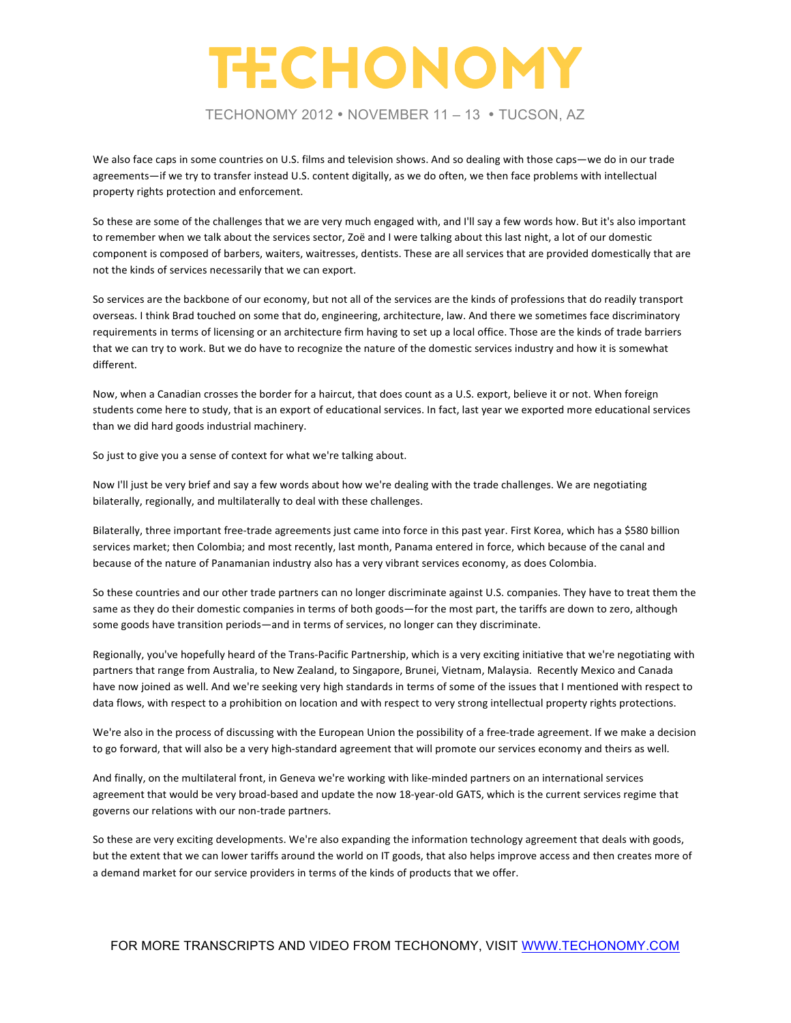TECHONOMY 2012 • NOVEMBER 11 – 13 • TUCSON, AZ

We also face caps in some countries on U.S. films and television shows. And so dealing with those caps—we do in our trade agreements-if we try to transfer instead U.S. content digitally, as we do often, we then face problems with intellectual property rights protection and enforcement.

So these are some of the challenges that we are very much engaged with, and I'll say a few words how. But it's also important to remember when we talk about the services sector, Zoë and I were talking about this last night, a lot of our domestic component is composed of barbers, waiters, waitresses, dentists. These are all services that are provided domestically that are not the kinds of services necessarily that we can export.

So services are the backbone of our economy, but not all of the services are the kinds of professions that do readily transport overseas. I think Brad touched on some that do, engineering, architecture, law. And there we sometimes face discriminatory requirements in terms of licensing or an architecture firm having to set up a local office. Those are the kinds of trade barriers that we can try to work. But we do have to recognize the nature of the domestic services industry and how it is somewhat different. 

Now, when a Canadian crosses the border for a haircut, that does count as a U.S. export, believe it or not. When foreign students come here to study, that is an export of educational services. In fact, last year we exported more educational services than we did hard goods industrial machinery.

So just to give you a sense of context for what we're talking about.

Now I'll just be very brief and say a few words about how we're dealing with the trade challenges. We are negotiating bilaterally, regionally, and multilaterally to deal with these challenges.

Bilaterally, three important free-trade agreements just came into force in this past year. First Korea, which has a \$580 billion services market; then Colombia; and most recently, last month, Panama entered in force, which because of the canal and because of the nature of Panamanian industry also has a very vibrant services economy, as does Colombia.

So these countries and our other trade partners can no longer discriminate against U.S. companies. They have to treat them the same as they do their domestic companies in terms of both goods—for the most part, the tariffs are down to zero, although some goods have transition periods—and in terms of services, no longer can they discriminate.

Regionally, you've hopefully heard of the Trans-Pacific Partnership, which is a very exciting initiative that we're negotiating with partners that range from Australia, to New Zealand, to Singapore, Brunei, Vietnam, Malaysia. Recently Mexico and Canada have now joined as well. And we're seeking very high standards in terms of some of the issues that I mentioned with respect to data flows, with respect to a prohibition on location and with respect to very strong intellectual property rights protections.

We're also in the process of discussing with the European Union the possibility of a free-trade agreement. If we make a decision to go forward, that will also be a very high-standard agreement that will promote our services economy and theirs as well.

And finally, on the multilateral front, in Geneva we're working with like-minded partners on an international services agreement that would be very broad-based and update the now 18-year-old GATS, which is the current services regime that governs our relations with our non-trade partners.

So these are very exciting developments. We're also expanding the information technology agreement that deals with goods, but the extent that we can lower tariffs around the world on IT goods, that also helps improve access and then creates more of a demand market for our service providers in terms of the kinds of products that we offer.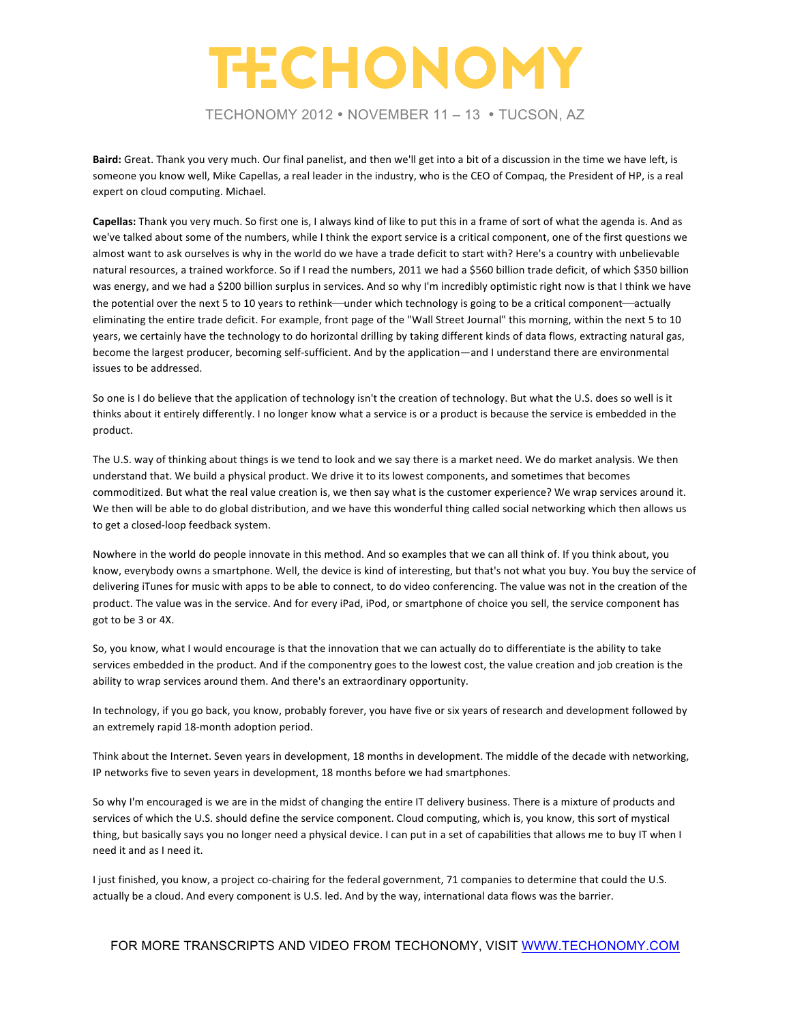TECHONOMY 2012 • NOVEMBER 11 – 13 • TUCSON, AZ

**Baird:** Great. Thank you very much. Our final panelist, and then we'll get into a bit of a discussion in the time we have left, is someone you know well, Mike Capellas, a real leader in the industry, who is the CEO of Compaq, the President of HP, is a real expert on cloud computing. Michael.

Capellas: Thank you very much. So first one is, I always kind of like to put this in a frame of sort of what the agenda is. And as we've talked about some of the numbers, while I think the export service is a critical component, one of the first questions we almost want to ask ourselves is why in the world do we have a trade deficit to start with? Here's a country with unbelievable natural resources, a trained workforce. So if I read the numbers, 2011 we had a \$560 billion trade deficit, of which \$350 billion was energy, and we had a \$200 billion surplus in services. And so why I'm incredibly optimistic right now is that I think we have the potential over the next 5 to 10 years to rethink—under which technology is going to be a critical component—actually eliminating the entire trade deficit. For example, front page of the "Wall Street Journal" this morning, within the next 5 to 10 years, we certainly have the technology to do horizontal drilling by taking different kinds of data flows, extracting natural gas, become the largest producer, becoming self-sufficient. And by the application—and I understand there are environmental issues to be addressed.

So one is I do believe that the application of technology isn't the creation of technology. But what the U.S. does so well is it thinks about it entirely differently. I no longer know what a service is or a product is because the service is embedded in the product. 

The U.S. way of thinking about things is we tend to look and we say there is a market need. We do market analysis. We then understand that. We build a physical product. We drive it to its lowest components, and sometimes that becomes commoditized. But what the real value creation is, we then say what is the customer experience? We wrap services around it. We then will be able to do global distribution, and we have this wonderful thing called social networking which then allows us to get a closed-loop feedback system.

Nowhere in the world do people innovate in this method. And so examples that we can all think of. If you think about, you know, everybody owns a smartphone. Well, the device is kind of interesting, but that's not what you buy. You buy the service of delivering iTunes for music with apps to be able to connect, to do video conferencing. The value was not in the creation of the product. The value was in the service. And for every iPad, iPod, or smartphone of choice you sell, the service component has got to be 3 or 4X.

So, you know, what I would encourage is that the innovation that we can actually do to differentiate is the ability to take services embedded in the product. And if the componentry goes to the lowest cost, the value creation and job creation is the ability to wrap services around them. And there's an extraordinary opportunity.

In technology, if you go back, you know, probably forever, you have five or six years of research and development followed by an extremely rapid 18-month adoption period.

Think about the Internet. Seven years in development, 18 months in development. The middle of the decade with networking, IP networks five to seven years in development, 18 months before we had smartphones.

So why I'm encouraged is we are in the midst of changing the entire IT delivery business. There is a mixture of products and services of which the U.S. should define the service component. Cloud computing, which is, you know, this sort of mystical thing, but basically says you no longer need a physical device. I can put in a set of capabilities that allows me to buy IT when I need it and as I need it.

I just finished, you know, a project co-chairing for the federal government, 71 companies to determine that could the U.S. actually be a cloud. And every component is U.S. led. And by the way, international data flows was the barrier.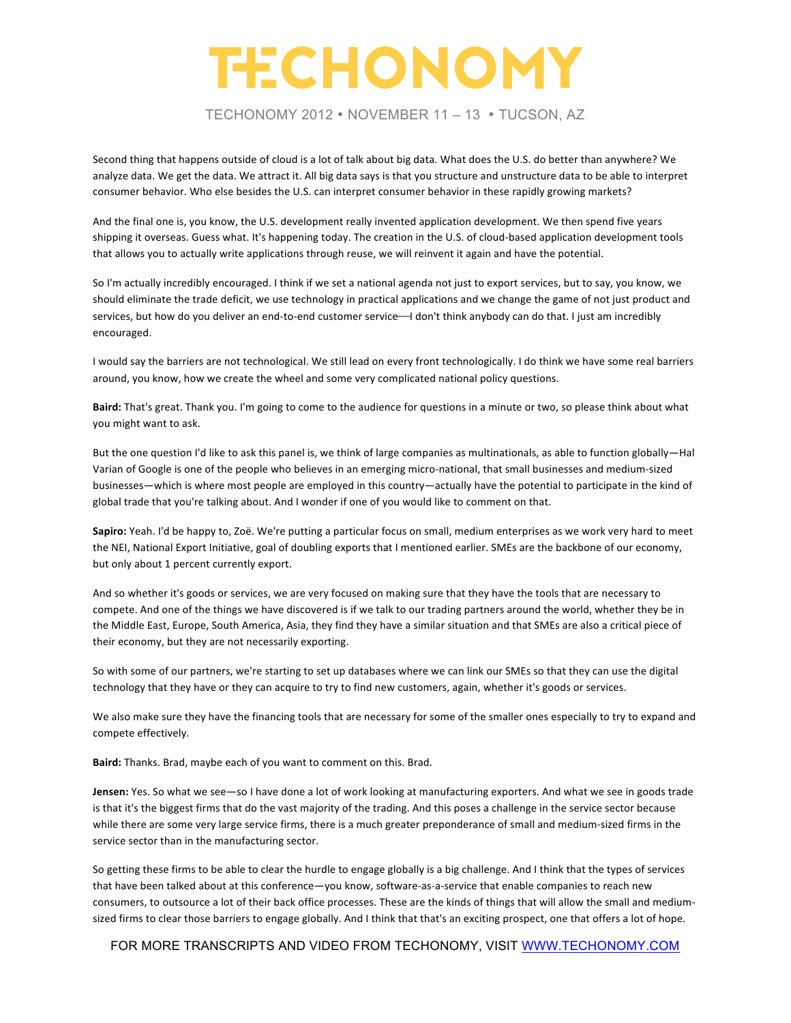TECHONOMY 2012 • NOVEMBER 11 – 13 • TUCSON, AZ

Second thing that happens outside of cloud is a lot of talk about big data. What does the U.S. do better than anywhere? We analyze data. We get the data. We attract it. All big data says is that you structure and unstructure data to be able to interpret consumer behavior. Who else besides the U.S. can interpret consumer behavior in these rapidly growing markets?

And the final one is, you know, the U.S. development really invented application development. We then spend five years shipping it overseas. Guess what. It's happening today. The creation in the U.S. of cloud-based application development tools that allows you to actually write applications through reuse, we will reinvent it again and have the potential.

So I'm actually incredibly encouraged. I think if we set a national agenda not just to export services, but to say, you know, we should eliminate the trade deficit, we use technology in practical applications and we change the game of not just product and services, but how do you deliver an end-to-end customer service—I don't think anybody can do that. I just am incredibly encouraged. 

I would say the barriers are not technological. We still lead on every front technologically. I do think we have some real barriers around, you know, how we create the wheel and some very complicated national policy questions.

Baird: That's great. Thank you. I'm going to come to the audience for questions in a minute or two, so please think about what you might want to ask.

But the one question I'd like to ask this panel is, we think of large companies as multinationals, as able to function globally—Hal Varian of Google is one of the people who believes in an emerging micro-national, that small businesses and medium-sized businesses—which is where most people are employed in this country—actually have the potential to participate in the kind of global trade that you're talking about. And I wonder if one of you would like to comment on that.

Sapiro: Yeah. I'd be happy to, Zoë. We're putting a particular focus on small, medium enterprises as we work very hard to meet the NEI, National Export Initiative, goal of doubling exports that I mentioned earlier. SMEs are the backbone of our economy, but only about 1 percent currently export.

And so whether it's goods or services, we are very focused on making sure that they have the tools that are necessary to compete. And one of the things we have discovered is if we talk to our trading partners around the world, whether they be in the Middle East, Europe, South America, Asia, they find they have a similar situation and that SMEs are also a critical piece of their economy, but they are not necessarily exporting.

So with some of our partners, we're starting to set up databases where we can link our SMEs so that they can use the digital technology that they have or they can acquire to try to find new customers, again, whether it's goods or services.

We also make sure they have the financing tools that are necessary for some of the smaller ones especially to try to expand and compete effectively.

Baird: Thanks. Brad, maybe each of you want to comment on this. Brad.

**Jensen:** Yes. So what we see—so I have done a lot of work looking at manufacturing exporters. And what we see in goods trade is that it's the biggest firms that do the vast majority of the trading. And this poses a challenge in the service sector because while there are some very large service firms, there is a much greater preponderance of small and medium-sized firms in the service sector than in the manufacturing sector.

So getting these firms to be able to clear the hurdle to engage globally is a big challenge. And I think that the types of services that have been talked about at this conference—you know, software-as-a-service that enable companies to reach new consumers, to outsource a lot of their back office processes. These are the kinds of things that will allow the small and mediumsized firms to clear those barriers to engage globally. And I think that that's an exciting prospect, one that offers a lot of hope.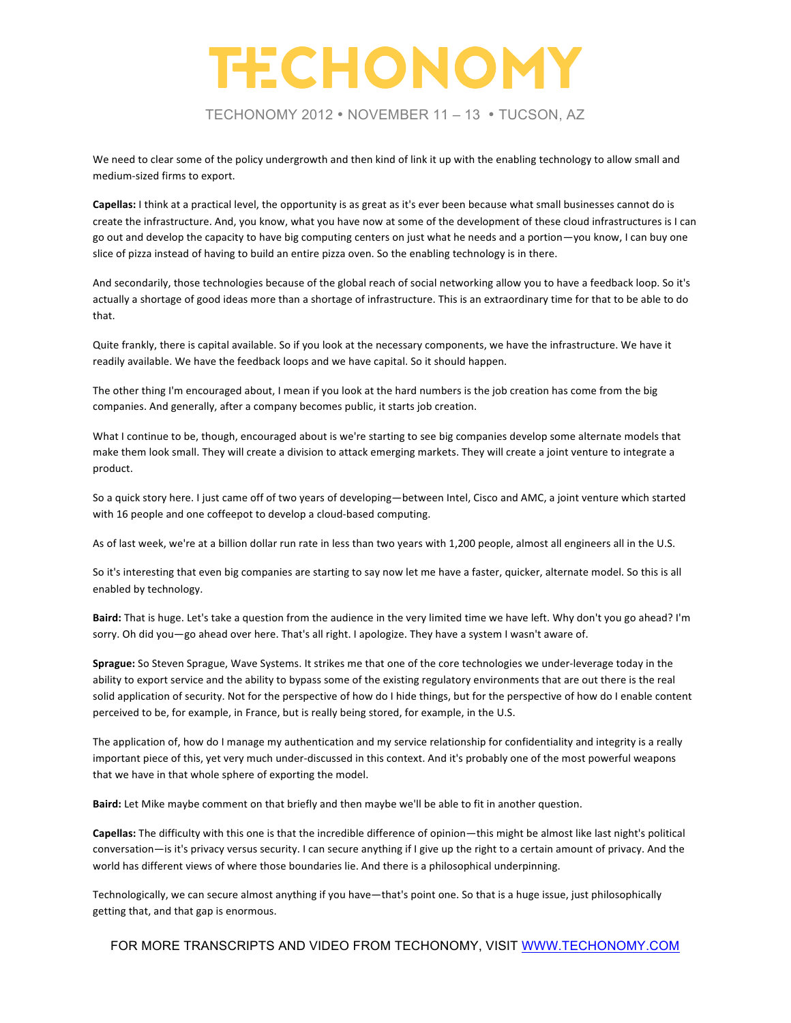TECHONOMY 2012 • NOVEMBER 11 – 13 • TUCSON, AZ

We need to clear some of the policy undergrowth and then kind of link it up with the enabling technology to allow small and medium-sized firms to export.

**Capellas:** I think at a practical level, the opportunity is as great as it's ever been because what small businesses cannot do is create the infrastructure. And, you know, what you have now at some of the development of these cloud infrastructures is I can go out and develop the capacity to have big computing centers on just what he needs and a portion—you know, I can buy one slice of pizza instead of having to build an entire pizza oven. So the enabling technology is in there.

And secondarily, those technologies because of the global reach of social networking allow you to have a feedback loop. So it's actually a shortage of good ideas more than a shortage of infrastructure. This is an extraordinary time for that to be able to do that.

Quite frankly, there is capital available. So if you look at the necessary components, we have the infrastructure. We have it readily available. We have the feedback loops and we have capital. So it should happen.

The other thing I'm encouraged about, I mean if you look at the hard numbers is the job creation has come from the big companies. And generally, after a company becomes public, it starts job creation.

What I continue to be, though, encouraged about is we're starting to see big companies develop some alternate models that make them look small. They will create a division to attack emerging markets. They will create a joint venture to integrate a product. 

So a quick story here. I just came off of two years of developing—between Intel, Cisco and AMC, a joint venture which started with 16 people and one coffeepot to develop a cloud-based computing.

As of last week, we're at a billion dollar run rate in less than two years with 1,200 people, almost all engineers all in the U.S.

So it's interesting that even big companies are starting to say now let me have a faster, quicker, alternate model. So this is all enabled by technology.

Baird: That is huge. Let's take a question from the audience in the very limited time we have left. Why don't you go ahead? I'm sorry. Oh did you—go ahead over here. That's all right. I apologize. They have a system I wasn't aware of.

**Sprague:** So Steven Sprague, Wave Systems. It strikes me that one of the core technologies we under-leverage today in the ability to export service and the ability to bypass some of the existing regulatory environments that are out there is the real solid application of security. Not for the perspective of how do I hide things, but for the perspective of how do I enable content perceived to be, for example, in France, but is really being stored, for example, in the U.S.

The application of, how do I manage my authentication and my service relationship for confidentiality and integrity is a really important piece of this, yet very much under-discussed in this context. And it's probably one of the most powerful weapons that we have in that whole sphere of exporting the model.

Baird: Let Mike maybe comment on that briefly and then maybe we'll be able to fit in another question.

Capellas: The difficulty with this one is that the incredible difference of opinion—this might be almost like last night's political conversation—is it's privacy versus security. I can secure anything if I give up the right to a certain amount of privacy. And the world has different views of where those boundaries lie. And there is a philosophical underpinning.

Technologically, we can secure almost anything if you have—that's point one. So that is a huge issue, just philosophically getting that, and that gap is enormous.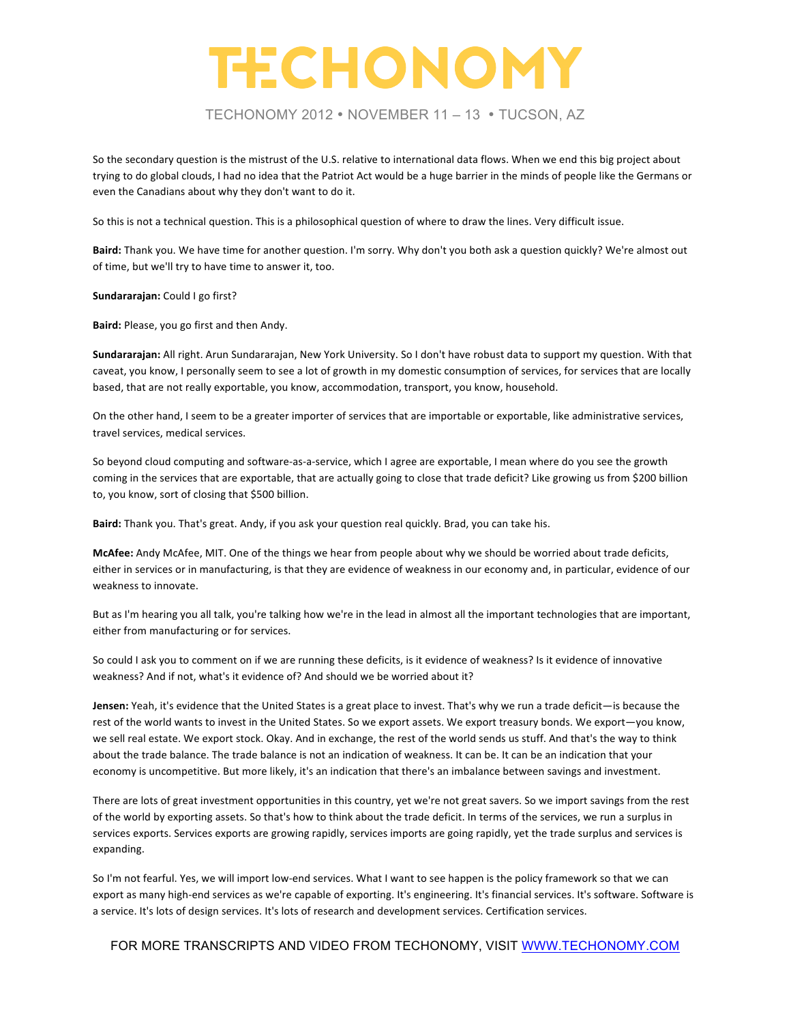#### TECHONOMY 2012 • NOVEMBER 11 – 13 • TUCSON, AZ

So the secondary question is the mistrust of the U.S. relative to international data flows. When we end this big project about trying to do global clouds, I had no idea that the Patriot Act would be a huge barrier in the minds of people like the Germans or even the Canadians about why they don't want to do it.

So this is not a technical question. This is a philosophical question of where to draw the lines. Very difficult issue.

Baird: Thank you. We have time for another question. I'm sorry. Why don't you both ask a question quickly? We're almost out of time, but we'll try to have time to answer it, too.

**Sundararajan:** Could I go first?

Baird: Please, you go first and then Andy.

Sundararajan: All right. Arun Sundararajan, New York University. So I don't have robust data to support my question. With that caveat, you know, I personally seem to see a lot of growth in my domestic consumption of services, for services that are locally based, that are not really exportable, you know, accommodation, transport, you know, household.

On the other hand, I seem to be a greater importer of services that are importable or exportable, like administrative services, travel services, medical services.

So beyond cloud computing and software-as-a-service, which I agree are exportable, I mean where do you see the growth coming in the services that are exportable, that are actually going to close that trade deficit? Like growing us from \$200 billion to, you know, sort of closing that \$500 billion.

Baird: Thank you. That's great. Andy, if you ask your question real quickly. Brad, you can take his.

McAfee: Andy McAfee, MIT. One of the things we hear from people about why we should be worried about trade deficits, either in services or in manufacturing, is that they are evidence of weakness in our economy and, in particular, evidence of our weakness to innovate.

But as I'm hearing you all talk, you're talking how we're in the lead in almost all the important technologies that are important, either from manufacturing or for services.

So could I ask you to comment on if we are running these deficits, is it evidence of weakness? Is it evidence of innovative weakness? And if not, what's it evidence of? And should we be worried about it?

**Jensen:** Yeah, it's evidence that the United States is a great place to invest. That's why we run a trade deficit—is because the rest of the world wants to invest in the United States. So we export assets. We export treasury bonds. We export—you know, we sell real estate. We export stock. Okay. And in exchange, the rest of the world sends us stuff. And that's the way to think about the trade balance. The trade balance is not an indication of weakness. It can be. It can be an indication that your economy is uncompetitive. But more likely, it's an indication that there's an imbalance between savings and investment.

There are lots of great investment opportunities in this country, yet we're not great savers. So we import savings from the rest of the world by exporting assets. So that's how to think about the trade deficit. In terms of the services, we run a surplus in services exports. Services exports are growing rapidly, services imports are going rapidly, yet the trade surplus and services is expanding. 

So I'm not fearful. Yes, we will import low-end services. What I want to see happen is the policy framework so that we can export as many high-end services as we're capable of exporting. It's engineering. It's financial services. It's software. Software is a service. It's lots of design services. It's lots of research and development services. Certification services.